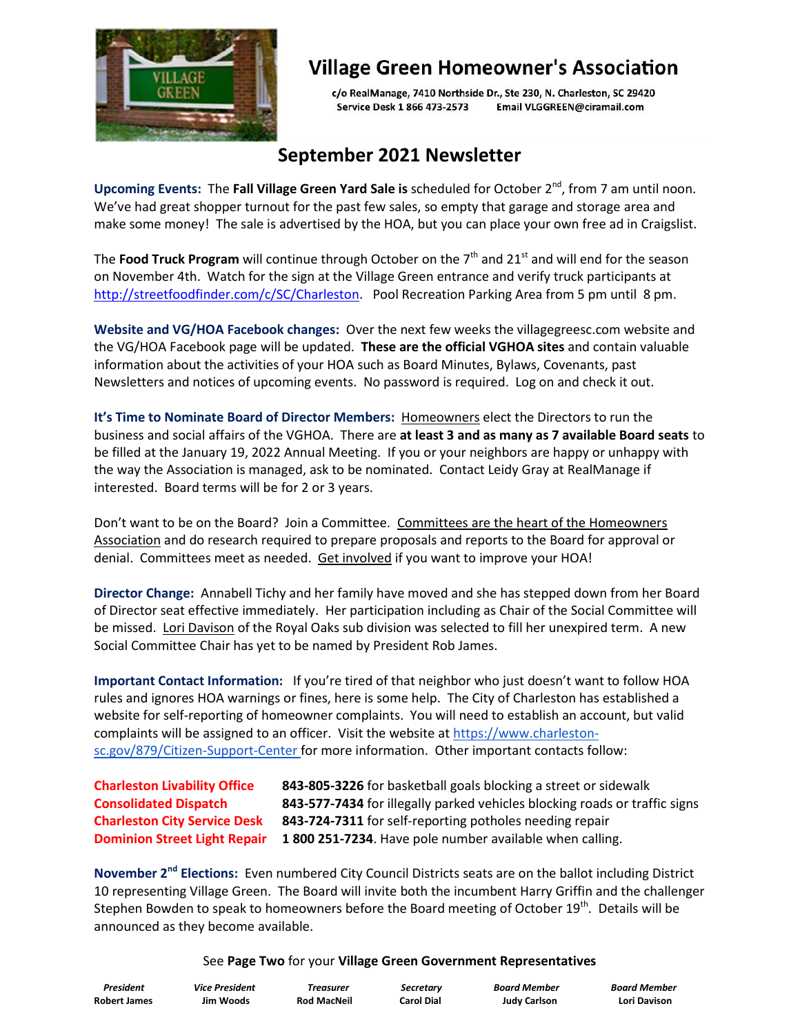

## **Village Green Homeowner's Association**

c/o RealManage, 7410 Northside Dr., Ste 230, N. Charleston, SC 29420 Service Desk 1 866 473-2573 Email VLGGREEN@ciramail.com

## **September 2021 Newsletter**

Upcoming Events: The Fall Village Green Yard Sale is scheduled for October 2<sup>nd</sup>, from 7 am until noon. We've had great shopper turnout for the past few sales, so empty that garage and storage area and make some money! The sale is advertised by the HOA, but you can place your own free ad in Craigslist.

The Food Truck Program will continue through October on the 7<sup>th</sup> and 21<sup>st</sup> and will end for the season on November 4th. Watch for the sign at the Village Green entrance and verify truck participants at [http://streetfoodfinder.com/c/SC/Charleston.](http://streetfoodfinder.com/c/SC/Charleston) Pool Recreation Parking Area from 5 pm until 8 pm.

**Website and VG/HOA Facebook changes:** Over the next few weeks the villagegreesc.com website and the VG/HOA Facebook page will be updated. **These are the official VGHOA sites** and contain valuable information about the activities of your HOA such as Board Minutes, Bylaws, Covenants, past Newsletters and notices of upcoming events. No password is required. Log on and check it out.

**It's Time to Nominate Board of Director Members:** Homeowners elect the Directors to run the business and social affairs of the VGHOA. There are **at least 3 and as many as 7 available Board seats** to be filled at the January 19, 2022 Annual Meeting. If you or your neighbors are happy or unhappy with the way the Association is managed, ask to be nominated. Contact Leidy Gray at RealManage if interested. Board terms will be for 2 or 3 years.

Don't want to be on the Board? Join a Committee. Committees are the heart of the Homeowners Association and do research required to prepare proposals and reports to the Board for approval or denial. Committees meet as needed. Get involved if you want to improve your HOA!

**Director Change:** Annabell Tichy and her family have moved and she has stepped down from her Board of Director seat effective immediately. Her participation including as Chair of the Social Committee will be missed. Lori Davison of the Royal Oaks sub division was selected to fill her unexpired term. A new Social Committee Chair has yet to be named by President Rob James.

**Important Contact Information:** If you're tired of that neighbor who just doesn't want to follow HOA rules and ignores HOA warnings or fines, here is some help. The City of Charleston has established a website for self-reporting of homeowner complaints. You will need to establish an account, but valid complaints will be assigned to an officer. Visit the website at [https://www.charleston](https://www.charleston-sc.gov/879/Citizen-Support-Center)[sc.gov/879/Citizen-Support-Center](https://www.charleston-sc.gov/879/Citizen-Support-Center) for more information. Other important contacts follow:

**Charleston Livability Office 843-805-3226** for basketball goals blocking a street or sidewalk **Consolidated Dispatch 843-577-7434** for illegally parked vehicles blocking roads or traffic signs **Charleston City Service Desk 843-724-7311** for self-reporting potholes needing repair **Dominion Street Light Repair 1 800 251-7234**. Have pole number available when calling.

**November 2nd Elections:** Even numbered City Council Districts seats are on the ballot including District 10 representing Village Green. The Board will invite both the incumbent Harry Griffin and the challenger Stephen Bowden to speak to homeowners before the Board meeting of October 19<sup>th</sup>. Details will be announced as they become available.

## See **Page Two** for your **Village Green Government Representatives**

| President           |
|---------------------|
| <b>Robert James</b> |